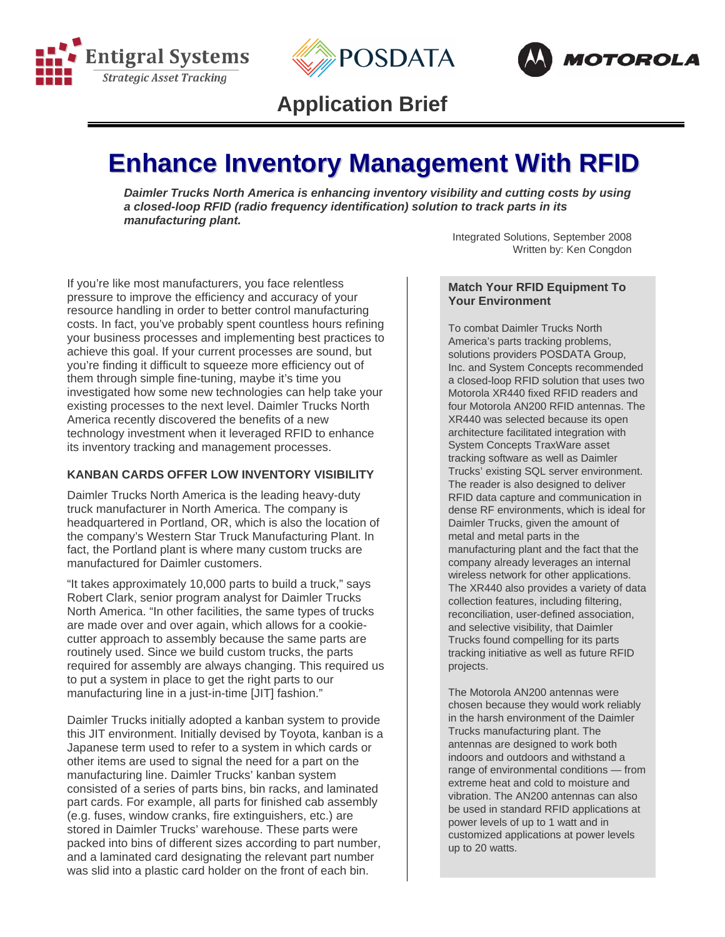





# **Application Brief**

# **Enhance Inventory Management With RFID**

*Daimler Trucks North America is enhancing inventory visibility and cutting costs by using a closed-loop RFID (radio frequency identification) solution to track parts in its manufacturing plant.* 

> Integrated Solutions, September 2008 Written by: Ken Congdon

If you're like most manufacturers, you face relentless pressure to improve the efficiency and accuracy of your resource handling in order to better control manufacturing costs. In fact, you've probably spent countless hours refining your business processes and implementing best practices to achieve this goal. If your current processes are sound, but you're finding it difficult to squeeze more efficiency out of them through simple fine-tuning, maybe it's time you investigated how some new technologies can help take your existing processes to the next level. Daimler Trucks North America recently discovered the benefits of a new technology investment when it leveraged RFID to enhance its inventory tracking and management processes.

### **KANBAN CARDS OFFER LOW INVENTORY VISIBILITY**

Daimler Trucks North America is the leading heavy-duty truck manufacturer in North America. The company is headquartered in Portland, OR, which is also the location of the company's Western Star Truck Manufacturing Plant. In fact, the Portland plant is where many custom trucks are manufactured for Daimler customers.

"It takes approximately 10,000 parts to build a truck," says Robert Clark, senior program analyst for Daimler Trucks North America. "In other facilities, the same types of trucks are made over and over again, which allows for a cookiecutter approach to assembly because the same parts are routinely used. Since we build custom trucks, the parts required for assembly are always changing. This required us to put a system in place to get the right parts to our manufacturing line in a just-in-time [JIT] fashion."

Daimler Trucks initially adopted a kanban system to provide this JIT environment. Initially devised by Toyota, kanban is a Japanese term used to refer to a system in which cards or other items are used to signal the need for a part on the manufacturing line. Daimler Trucks' kanban system consisted of a series of parts bins, bin racks, and laminated part cards. For example, all parts for finished cab assembly (e.g. fuses, window cranks, fire extinguishers, etc.) are stored in Daimler Trucks' warehouse. These parts were packed into bins of different sizes according to part number, and a laminated card designating the relevant part number was slid into a plastic card holder on the front of each bin.

#### **Match Your RFID Equipment To Your Environment**

To combat Daimler Trucks North America's parts tracking problems, solutions providers POSDATA Group, Inc. and System Concepts recommended a closed-loop RFID solution that uses two Motorola XR440 fixed RFID readers and four Motorola AN200 RFID antennas. The XR440 was selected because its open architecture facilitated integration with System Concepts TraxWare asset tracking software as well as Daimler Trucks' existing SQL server environment. The reader is also designed to deliver RFID data capture and communication in dense RF environments, which is ideal for Daimler Trucks, given the amount of metal and metal parts in the manufacturing plant and the fact that the company already leverages an internal wireless network for other applications. The XR440 also provides a variety of data collection features, including filtering, reconciliation, user-defined association, and selective visibility, that Daimler Trucks found compelling for its parts tracking initiative as well as future RFID projects.

The Motorola AN200 antennas were chosen because they would work reliably in the harsh environment of the Daimler Trucks manufacturing plant. The antennas are designed to work both indoors and outdoors and withstand a range of environmental conditions — from extreme heat and cold to moisture and vibration. The AN200 antennas can also be used in standard RFID applications at power levels of up to 1 watt and in customized applications at power levels up to 20 watts.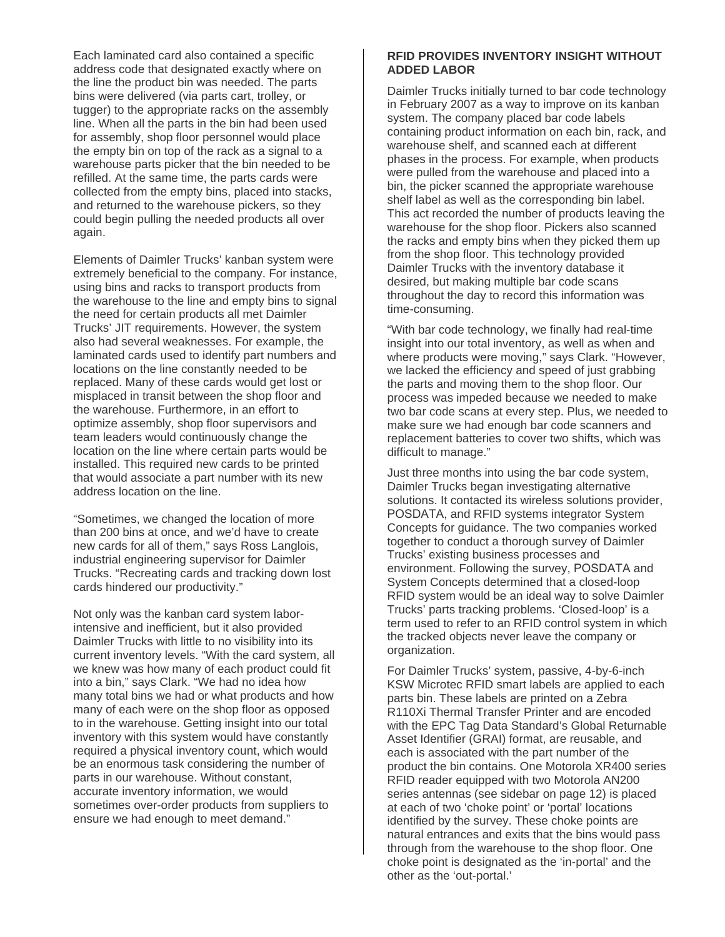Each laminated card also contained a specific address code that designated exactly where on the line the product bin was needed. The parts bins were delivered (via parts cart, trolley, or tugger) to the appropriate racks on the assembly line. When all the parts in the bin had been used for assembly, shop floor personnel would place the empty bin on top of the rack as a signal to a warehouse parts picker that the bin needed to be refilled. At the same time, the parts cards were collected from the empty bins, placed into stacks, and returned to the warehouse pickers, so they could begin pulling the needed products all over again.

Elements of Daimler Trucks' kanban system were extremely beneficial to the company. For instance, using bins and racks to transport products from the warehouse to the line and empty bins to signal the need for certain products all met Daimler Trucks' JIT requirements. However, the system also had several weaknesses. For example, the laminated cards used to identify part numbers and locations on the line constantly needed to be replaced. Many of these cards would get lost or misplaced in transit between the shop floor and the warehouse. Furthermore, in an effort to optimize assembly, shop floor supervisors and team leaders would continuously change the location on the line where certain parts would be installed. This required new cards to be printed that would associate a part number with its new address location on the line.

"Sometimes, we changed the location of more than 200 bins at once, and we'd have to create new cards for all of them," says Ross Langlois, industrial engineering supervisor for Daimler Trucks. "Recreating cards and tracking down lost cards hindered our productivity."

Not only was the kanban card system laborintensive and inefficient, but it also provided Daimler Trucks with little to no visibility into its current inventory levels. "With the card system, all we knew was how many of each product could fit into a bin," says Clark. "We had no idea how many total bins we had or what products and how many of each were on the shop floor as opposed to in the warehouse. Getting insight into our total inventory with this system would have constantly required a physical inventory count, which would be an enormous task considering the number of parts in our warehouse. Without constant, accurate inventory information, we would sometimes over-order products from suppliers to ensure we had enough to meet demand."

#### **RFID PROVIDES INVENTORY INSIGHT WITHOUT ADDED LABOR**

Daimler Trucks initially turned to bar code technology in February 2007 as a way to improve on its kanban system. The company placed bar code labels containing product information on each bin, rack, and warehouse shelf, and scanned each at different phases in the process. For example, when products were pulled from the warehouse and placed into a bin, the picker scanned the appropriate warehouse shelf label as well as the corresponding bin label. This act recorded the number of products leaving the warehouse for the shop floor. Pickers also scanned the racks and empty bins when they picked them up from the shop floor. This technology provided Daimler Trucks with the inventory database it desired, but making multiple bar code scans throughout the day to record this information was time-consuming.

"With bar code technology, we finally had real-time insight into our total inventory, as well as when and where products were moving," says Clark. "However, we lacked the efficiency and speed of just grabbing the parts and moving them to the shop floor. Our process was impeded because we needed to make two bar code scans at every step. Plus, we needed to make sure we had enough bar code scanners and replacement batteries to cover two shifts, which was difficult to manage."

Just three months into using the bar code system, Daimler Trucks began investigating alternative solutions. It contacted its wireless solutions provider, POSDATA, and RFID systems integrator System Concepts for guidance. The two companies worked together to conduct a thorough survey of Daimler Trucks' existing business processes and environment. Following the survey, POSDATA and System Concepts determined that a closed-loop RFID system would be an ideal way to solve Daimler Trucks' parts tracking problems. 'Closed-loop' is a term used to refer to an RFID control system in which the tracked objects never leave the company or organization.

For Daimler Trucks' system, passive, 4-by-6-inch KSW Microtec RFID smart labels are applied to each parts bin. These labels are printed on a Zebra R110Xi Thermal Transfer Printer and are encoded with the EPC Tag Data Standard's Global Returnable Asset Identifier (GRAI) format, are reusable, and each is associated with the part number of the product the bin contains. One Motorola XR400 series RFID reader equipped with two Motorola AN200 series antennas (see sidebar on page 12) is placed at each of two 'choke point' or 'portal' locations identified by the survey. These choke points are natural entrances and exits that the bins would pass through from the warehouse to the shop floor. One choke point is designated as the 'in-portal' and the other as the 'out-portal.'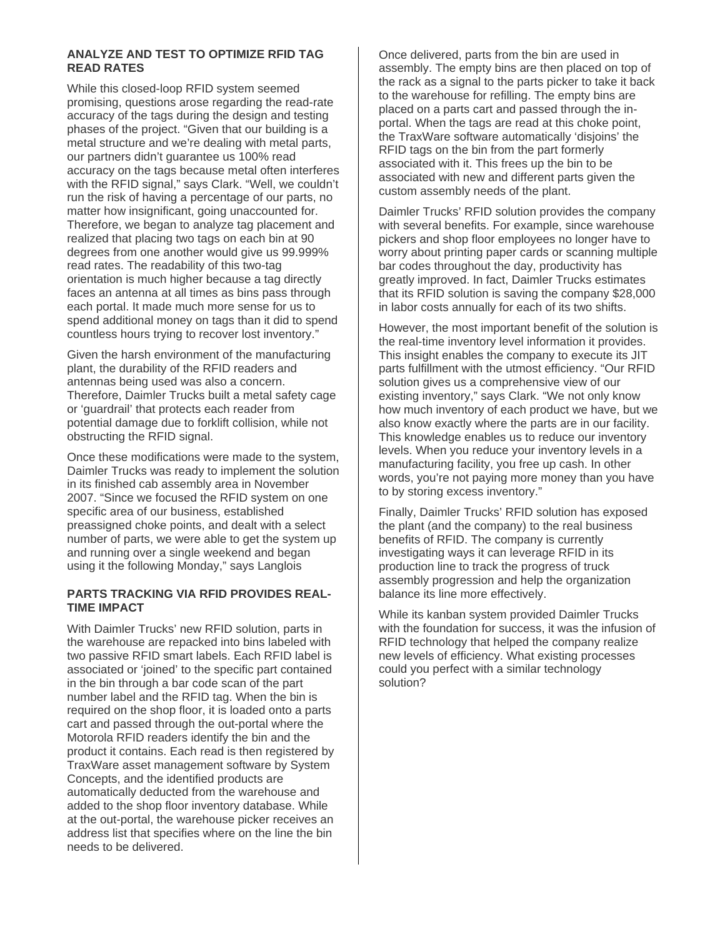## **ANALYZE AND TEST TO OPTIMIZE RFID TAG READ RATES**

While this closed-loop RFID system seemed promising, questions arose regarding the read-rate accuracy of the tags during the design and testing phases of the project. "Given that our building is a metal structure and we're dealing with metal parts, our partners didn't guarantee us 100% read accuracy on the tags because metal often interferes with the RFID signal," says Clark, "Well, we couldn't run the risk of having a percentage of our parts, no matter how insignificant, going unaccounted for. Therefore, we began to analyze tag placement and realized that placing two tags on each bin at 90 degrees from one another would give us 99.999% read rates. The readability of this two-tag orientation is much higher because a tag directly faces an antenna at all times as bins pass through each portal. It made much more sense for us to spend additional money on tags than it did to spend countless hours trying to recover lost inventory."

Given the harsh environment of the manufacturing plant, the durability of the RFID readers and antennas being used was also a concern. Therefore, Daimler Trucks built a metal safety cage or 'guardrail' that protects each reader from potential damage due to forklift collision, while not obstructing the RFID signal.

Once these modifications were made to the system, Daimler Trucks was ready to implement the solution in its finished cab assembly area in November 2007. "Since we focused the RFID system on one specific area of our business, established preassigned choke points, and dealt with a select number of parts, we were able to get the system up and running over a single weekend and began using it the following Monday," says Langlois

#### **PARTS TRACKING VIA RFID PROVIDES REAL-TIME IMPACT**

With Daimler Trucks' new RFID solution, parts in the warehouse are repacked into bins labeled with two passive RFID smart labels. Each RFID label is associated or 'joined' to the specific part contained in the bin through a bar code scan of the part number label and the RFID tag. When the bin is required on the shop floor, it is loaded onto a parts cart and passed through the out-portal where the Motorola RFID readers identify the bin and the product it contains. Each read is then registered by TraxWare asset management software by System Concepts, and the identified products are automatically deducted from the warehouse and added to the shop floor inventory database. While at the out-portal, the warehouse picker receives an address list that specifies where on the line the bin needs to be delivered.

Once delivered, parts from the bin are used in assembly. The empty bins are then placed on top of the rack as a signal to the parts picker to take it back to the warehouse for refilling. The empty bins are placed on a parts cart and passed through the inportal. When the tags are read at this choke point, the TraxWare software automatically 'disjoins' the RFID tags on the bin from the part formerly associated with it. This frees up the bin to be associated with new and different parts given the custom assembly needs of the plant.

Daimler Trucks' RFID solution provides the company with several benefits. For example, since warehouse pickers and shop floor employees no longer have to worry about printing paper cards or scanning multiple bar codes throughout the day, productivity has greatly improved. In fact, Daimler Trucks estimates that its RFID solution is saving the company \$28,000 in labor costs annually for each of its two shifts.

However, the most important benefit of the solution is the real-time inventory level information it provides. This insight enables the company to execute its JIT parts fulfillment with the utmost efficiency. "Our RFID solution gives us a comprehensive view of our existing inventory," says Clark. "We not only know how much inventory of each product we have, but we also know exactly where the parts are in our facility. This knowledge enables us to reduce our inventory levels. When you reduce your inventory levels in a manufacturing facility, you free up cash. In other words, you're not paying more money than you have to by storing excess inventory."

Finally, Daimler Trucks' RFID solution has exposed the plant (and the company) to the real business benefits of RFID. The company is currently investigating ways it can leverage RFID in its production line to track the progress of truck assembly progression and help the organization balance its line more effectively.

While its kanban system provided Daimler Trucks with the foundation for success, it was the infusion of RFID technology that helped the company realize new levels of efficiency. What existing processes could you perfect with a similar technology solution?